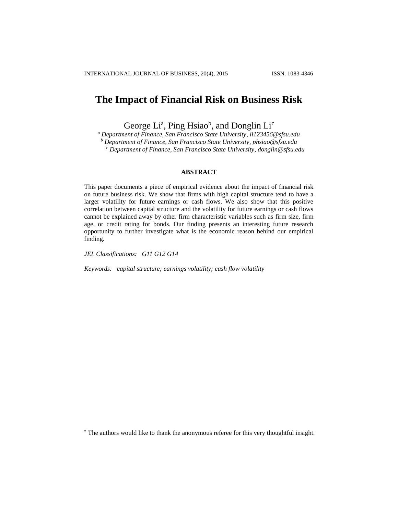# **The Impact of Financial Risk on Business Risk**

George Li<sup>a</sup>, Ping Hsiao<sup>b</sup>, and Donglin Li<sup>c</sup>

*<sup>a</sup> Department of Finance, San Francisco State University, li123456@sfsu.edu*

*<sup>b</sup> Department of Finance, San Francisco State University, phsiao@sfsu.edu*

*<sup>c</sup> Department of Finance, San Francisco State University[, donglin@sfsu.edu](mailto:donglin@sfsu.edu)*

## **ABSTRACT**

This paper documents a piece of empirical evidence about the impact of financial risk on future business risk. We show that firms with high capital structure tend to have a larger volatility for future earnings or cash flows. We also show that this positive correlation between capital structure and the volatility for future earnings or cash flows cannot be explained away by other firm characteristic variables such as firm size, firm age, or credit rating for bonds. Our finding presents an interesting future research opportunity to further investigate what is the economic reason behind our empirical finding.

*JEL Classifications: G11 G12 G14*

*Keywords: capital structure; earnings volatility; cash flow volatility*

<sup>\*</sup> The authors would like to thank the anonymous referee for this very thoughtful insight.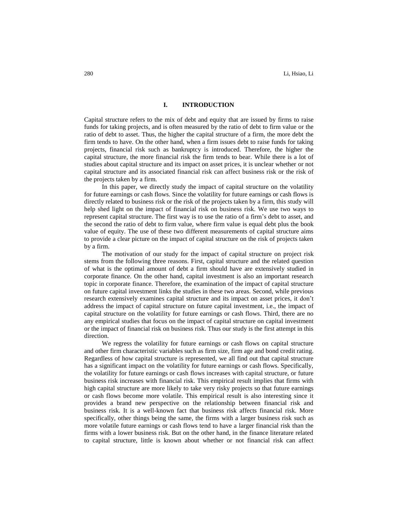#### **I. INTRODUCTION**

Capital structure refers to the mix of debt and equity that are issued by firms to raise funds for taking projects, and is often measured by the ratio of debt to firm value or the ratio of debt to asset. Thus, the higher the capital structure of a firm, the more debt the firm tends to have. On the other hand, when a firm issues debt to raise funds for taking projects, financial risk such as bankruptcy is introduced. Therefore, the higher the capital structure, the more financial risk the firm tends to bear. While there is a lot of studies about capital structure and its impact on asset prices, it is unclear whether or not capital structure and its associated financial risk can affect business risk or the risk of the projects taken by a firm.

In this paper, we directly study the impact of capital structure on the volatility for future earnings or cash flows. Since the volatility for future earnings or cash flows is directly related to business risk or the risk of the projects taken by a firm, this study will help shed light on the impact of financial risk on business risk. We use two ways to represent capital structure. The first way is to use the ratio of a firm's debt to asset, and the second the ratio of debt to firm value, where firm value is equal debt plus the book value of equity. The use of these two different measurements of capital structure aims to provide a clear picture on the impact of capital structure on the risk of projects taken by a firm.

The motivation of our study for the impact of capital structure on project risk stems from the following three reasons. First, capital structure and the related question of what is the optimal amount of debt a firm should have are extensively studied in corporate finance. On the other hand, capital investment is also an important research topic in corporate finance. Therefore, the examination of the impact of capital structure on future capital investment links the studies in these two areas. Second, while previous research extensively examines capital structure and its impact on asset prices, it don't address the impact of capital structure on future capital investment, i.e., the impact of capital structure on the volatility for future earnings or cash flows. Third, there are no any empirical studies that focus on the impact of capital structure on capital investment or the impact of financial risk on business risk. Thus our study is the first attempt in this direction.

We regress the volatility for future earnings or cash flows on capital structure and other firm characteristic variables such as firm size, firm age and bond credit rating. Regardless of how capital structure is represented, we all find out that capital structure has a significant impact on the volatility for future earnings or cash flows. Specifically, the volatility for future earnings or cash flows increases with capital structure, or future business risk increases with financial risk. This empirical result implies that firms with high capital structure are more likely to take very risky projects so that future earnings or cash flows become more volatile. This empirical result is also interesting since it provides a brand new perspective on the relationship between financial risk and business risk. It is a well-known fact that business risk affects financial risk. More specifically, other things being the same, the firms with a larger business risk such as more volatile future earnings or cash flows tend to have a larger financial risk than the firms with a lower business risk. But on the other hand, in the finance literature related to capital structure, little is known about whether or not financial risk can affect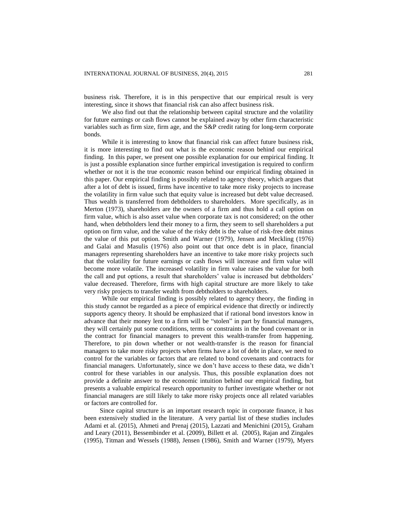business risk. Therefore, it is in this perspective that our empirical result is very interesting, since it shows that financial risk can also affect business risk.

We also find out that the relationship between capital structure and the volatility for future earnings or cash flows cannot be explained away by other firm characteristic variables such as firm size, firm age, and the S&P credit rating for long-term corporate bonds.

While it is interesting to know that financial risk can affect future business risk, it is more interesting to find out what is the economic reason behind our empirical finding. In this paper, we present one possible explanation for our empirical finding. It is just a possible explanation since further empirical investigation is required to confirm whether or not it is the true economic reason behind our empirical finding obtained in this paper. Our empirical finding is possibly related to agency theory, which argues that after a lot of debt is issued, firms have incentive to take more risky projects to increase the volatility in firm value such that equity value is increased but debt value decreased. Thus wealth is transferred from debtholders to shareholders. More specifically, as in Merton (1973), shareholders are the owners of a firm and thus hold a call option on firm value, which is also asset value when corporate tax is not considered; on the other hand, when debtholders lend their money to a firm, they seem to sell shareholders a put option on firm value, and the value of the risky debt is the value of risk-free debt minus the value of this put option. Smith and Warner (1979), Jensen and Meckling (1976) and Galai and Masulis (1976) also point out that once debt is in place, financial managers representing shareholders have an incentive to take more risky projects such that the volatility for future earnings or cash flows will increase and firm value will become more volatile. The increased volatility in firm value raises the value for both the call and put options, a result that shareholders' value is increased but debtholders' value decreased. Therefore, firms with high capital structure are more likely to take very risky projects to transfer wealth from debtholders to shareholders.

While our empirical finding is possibly related to agency theory, the finding in this study cannot be regarded as a piece of empirical evidence that directly or indirectly supports agency theory. It should be emphasized that if rational bond investors know in advance that their money lent to a firm will be "stolen" in part by financial managers, they will certainly put some conditions, terms or constraints in the bond covenant or in the contract for financial managers to prevent this wealth-transfer from happening. Therefore, to pin down whether or not wealth-transfer is the reason for financial managers to take more risky projects when firms have a lot of debt in place, we need to control for the variables or factors that are related to bond covenants and contracts for financial managers. Unfortunately, since we don't have access to these data, we didn't control for these variables in our analysis. Thus, this possible explanation does not provide a definite answer to the economic intuition behind our empirical finding, but presents a valuable empirical research opportunity to further investigate whether or not financial managers are still likely to take more risky projects once all related variables or factors are controlled for.

Since capital structure is an important research topic in corporate finance, it has been extensively studied in the literature. A very partial list of these studies includes Adami et al. (2015), Ahmeti and Prenaj (2015), Lazzati and Menichini (2015), Graham and Leary (2011), Bessembinder et al. (2009), Billett et al. (2005), Rajan and Zingales (1995), Titman and Wessels (1988), Jensen (1986), Smith and Warner (1979), Myers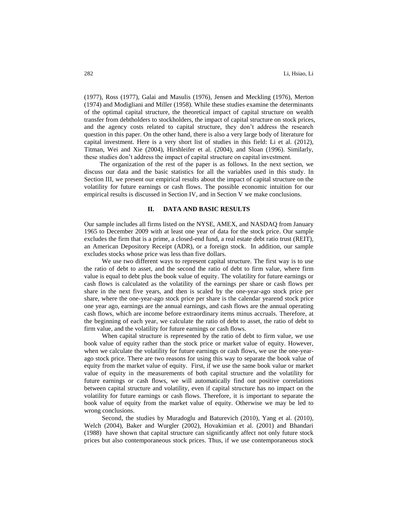(1977), Ross (1977), Galai and Masulis (1976), Jensen and Meckling (1976), Merton (1974) and Modigliani and Miller (1958). While these studies examine the determinants of the optimal capital structure, the theoretical impact of capital structure on wealth transfer from debtholders to stockholders, the impact of capital structure on stock prices, and the agency costs related to capital structure, they don't address the research question in this paper. On the other hand, there is also a very large body of literature for capital investment. Here is a very short list of studies in this field: Li et al. (2012), Titman, Wei and Xie (2004), Hirshleifer et al. (2004), and Sloan (1996). Similarly, these studies don't address the impact of capital structure on capital investment.

The organization of the rest of the paper is as follows. In the next section, we discuss our data and the basic statistics for all the variables used in this study. In Section III, we present our empirical results about the impact of capital structure on the volatility for future earnings or cash flows. The possible economic intuition for our empirical results is discussed in Section IV, and in Section V we make conclusions.

#### **II. DATA AND BASIC RESULTS**

Our sample includes all firms listed on the NYSE, AMEX, and NASDAQ from January 1965 to December 2009 with at least one year of data for the stock price. Our sample excludes the firm that is a prime, a closed-end fund, a real estate debt ratio trust (REIT), an American Depository Receipt (ADR), or a foreign stock. In addition, our sample excludes stocks whose price was less than five dollars.

We use two different ways to represent capital structure. The first way is to use the ratio of debt to asset, and the second the ratio of debt to firm value, where firm value is equal to debt plus the book value of equity. The volatility for future earnings or cash flows is calculated as the volatility of the earnings per share or cash flows per share in the next five years, and then is scaled by the one-year-ago stock price per share, where the one-year-ago stock price per share is the calendar yearend stock price one year ago, earnings are the annual earnings, and cash flows are the annual operating cash flows, which are income before extraordinary items minus accruals. Therefore, at the beginning of each year, we calculate the ratio of debt to asset, the ratio of debt to firm value, and the volatility for future earnings or cash flows.

When capital structure is represented by the ratio of debt to firm value, we use book value of equity rather than the stock price or market value of equity. However, when we calculate the volatility for future earnings or cash flows, we use the one-yearago stock price. There are two reasons for using this way to separate the book value of equity from the market value of equity. First, if we use the same book value or market value of equity in the measurements of both capital structure and the volatility for future earnings or cash flows, we will automatically find out positive correlations between capital structure and volatility, even if capital structure has no impact on the volatility for future earnings or cash flows. Therefore, it is important to separate the book value of equity from the market value of equity. Otherwise we may be led to wrong conclusions.

Second, the studies by Muradoglu and Baturevich (2010), Yang et al. (2010), Welch (2004), Baker and Wurgler (2002), Hovakimian et al. (2001) and Bhandari (1988) have shown that capital structure can significantly affect not only future stock prices but also contemporaneous stock prices. Thus, if we use contemporaneous stock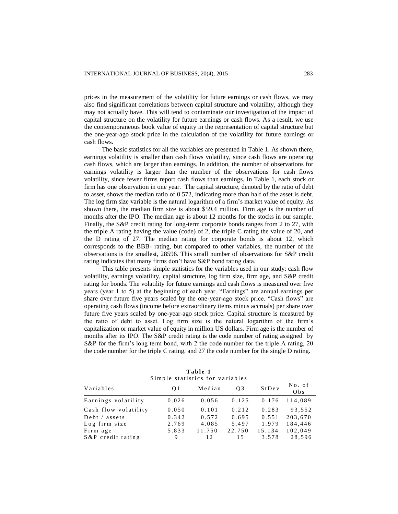prices in the measurement of the volatility for future earnings or cash flows, we may also find significant correlations between capital structure and volatility, although they may not actually have. This will tend to contaminate our investigation of the impact of capital structure on the volatility for future earnings or cash flows. As a result, we use the contemporaneous book value of equity in the representation of capital structure but the one-year-ago stock price in the calculation of the volatility for future earnings or cash flows.

The basic statistics for all the variables are presented in Table 1. As shown there, earnings volatility is smaller than cash flows volatility, since cash flows are operating cash flows, which are larger than earnings. In addition, the number of observations for earnings volatility is larger than the number of the observations for cash flows volatility, since fewer firms report cash flows than earnings. In Table 1, each stock or firm has one observation in one year. The capital structure, denoted by the ratio of debt to asset, shows the median ratio of 0.572, indicating more than half of the asset is debt. The log firm size variable is the natural logarithm of a firm's market value of equity. As shown there, the median firm size is about \$59.4 million. Firm age is the number of months after the IPO. The median age is about 12 months for the stocks in our sample. Finally, the S&P credit rating for long-term corporate bonds ranges from 2 to 27, with the triple A rating having the value (code) of 2, the triple C rating the value of 20, and the D rating of 27. The median rating for corporate bonds is about 12, which corresponds to the BBB- rating, but compared to other variables, the number of the observations is the smallest, 28596. This small number of observations for S&P credit rating indicates that many firms don't have S&P bond rating data.

This table presents simple statistics for the variables used in our study: cash flow volatility, earnings volatility, capital structure, log firm size, firm age, and S&P credit rating for bonds. The volatility for future earnings and cash flows is measured over five years (year 1 to 5) at the beginning of each year. "Earnings" are annual earnings per share over future five years scaled by the one-year-ago stock price. "Cash flows" are operating cash flows (income before extraordinary items minus accruals) per share over future five years scaled by one-year-ago stock price. Capital structure is measured by the ratio of debt to asset. Log firm size is the natural logarithm of the firm's capitalization or market value of equity in million US dollars. Firm age is the number of months after its IPO. The S&P credit rating is the code number of rating assigned by S&P for the firm's long term bond, with 2 the code number for the triple A rating, 20 the code number for the triple C rating, and 27 the code number for the single D rating.

| Simple statistics for variables |       |        |        |        |                |  |  |
|---------------------------------|-------|--------|--------|--------|----------------|--|--|
| Variables                       | O 1   | Median | 03     | StDev  | No. of<br>Ob s |  |  |
| Earnings volatility             | 0.026 | 0.056  | 0.125  | 0.176  | 114.089        |  |  |
| Cash flow volatility            | 0.050 | 0.101  | 0.212  | 0.283  | 93.552         |  |  |
| Debt / assets                   | 0.342 | 0.572  | 0.695  | 0.551  | 203,670        |  |  |
| Log firm size                   | 2.769 | 4.085  | 5.497  | 1.979  | 184.446        |  |  |
| Firm age                        | 5.833 | 11.750 | 22.750 | 15.134 | 102,049        |  |  |
| S&P credit rating               | 9     | 12     | 1.5    | 3.578  | 28,596         |  |  |

**T a b l e 1**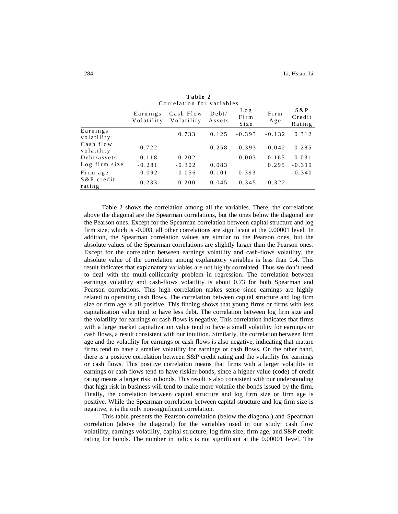| Correlation for variables |                        |                         |                    |                     |             |                           |
|---------------------------|------------------------|-------------------------|--------------------|---------------------|-------------|---------------------------|
|                           | Earnings<br>Volatility | Cash Flow<br>Volatility | $D$ ebt/<br>Assets | Log<br>Firm<br>Size | Firm<br>Age | S & P<br>Credit<br>Rating |
| Earnings<br>volatility    |                        | 0.733                   | 0.125              | $-0.393$            | $-0.132$    | 0.312                     |
| Cash flow<br>volatility   | 0.722                  |                         | 0.258              | $-0.393$            | $-0.042$    | 0.285                     |
| Debt/assets               | 0.118                  | 0.202                   |                    | $-0.003$            | 0.165       | 0.031                     |
| Log firm size             | $-0.281$               | $-0.302$                | 0.083              |                     | 0.295       | $-0.319$                  |
| Firm age                  | $-0.092$               | $-0.056$                | 0.101              | 0.393               |             | $-0.340$                  |
| S & P credit<br>rating    | 0.233                  | 0.200                   | 0.045              | $-0.345$            | $-0.322$    |                           |

**T a b l e 2**

Table 2 shows the correlation among all the variables. There, the correlations above the diagonal are the Spearman correlations, but the ones below the diagonal are the Pearson ones. Except for the Spearman correlation between capital structure and log firm size, which is -0.003, all other correlations are significant at the 0.00001 level. In addition, the Spearman correlation values are similar to the Pearson ones, but the absolute values of the Spearman correlations are slightly larger than the Pearson ones. Except for the correlation between earnings volatility and cash-flows volatility, the absolute value of the correlation among explanatory variables is less than 0.4. This result indicates that explanatory variables are not highly correlated. Thus we don't need to deal with the multi-collinearity problem in regression. The correlation between earnings volatility and cash-flows volatility is about 0.73 for both Spearman and Pearson correlations. This high correlation makes sense since earnings are highly related to operating cash flows. The correlation between capital structure and log firm size or firm age is all positive. This finding shows that young firms or firms with less capitalization value tend to have less debt. The correlation between log firm size and the volatility for earnings or cash flows is negative. This correlation indicates that firms with a large market capitalization value tend to have a small volatility for earnings or cash flows, a result consistent with our intuition. Similarly, the correlation between firm age and the volatility for earnings or cash flows is also negative, indicating that mature firms tend to have a smaller volatility for earnings or cash flows. On the other hand, there is a positive correlation between S&P credit rating and the volatility for earnings or cash flows. This positive correlation means that firms with a larger volatility in earnings or cash flows tend to have riskier bonds, since a higher value (code) of credit rating means a larger risk in bonds. This result is also consistent with our understanding that high risk in business will tend to make more volatile the bonds issued by the firm. Finally, the correlation between capital structure and log firm size or firm age is positive. While the Spearman correlation between capital structure and log firm size is negative, it is the only non-significant correlation.

This table presents the Pearson correlation (below the diagonal) and Spearman correlation (above the diagonal) for the variables used in our study: cash flow volatility, earnings volatility, capital structure, log firm size, firm age, and S&P credit rating for bonds. The number in italics is not significant at the 0.00001 level. The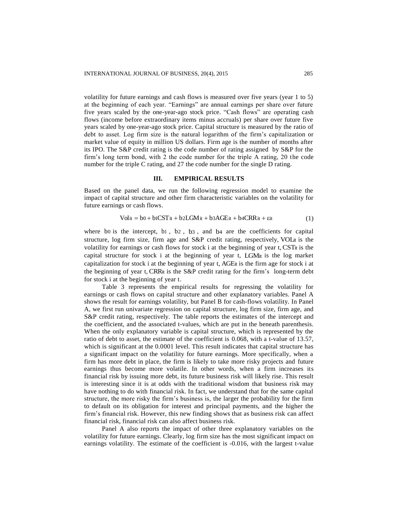volatility for future earnings and cash flows is measured over five years (year 1 to 5) at the beginning of each year. "Earnings" are annual earnings per share over future five years scaled by the one-year-ago stock price. "Cash flows" are operating cash flows (income before extraordinary items minus accruals) per share over future five years scaled by one-year-ago stock price. Capital structure is measured by the ratio of debt to asset. Log firm size is the natural logarithm of the firm's capitalization or market value of equity in million US dollars. Firm age is the number of months after its IPO. The S&P credit rating is the code number of rating assigned by S&P for the firm's long term bond, with 2 the code number for the triple A rating, 20 the code number for the triple C rating, and 27 the code number for the single D rating.

## **III. EMPIRICAL RESULTS**

Based on the panel data, we run the following regression model to examine the impact of capital structure and other firm characteristic variables on the volatility for future earnings or cash flows.

$$
Volit = b0 + b1CSTit + b2LGMit + b3AGEit + b4CRRit + \varepsilon it
$$
 (1)

where bo is the intercept, b1, b2, b3, and b4 are the coefficients for capital structure, log firm size, firm age and S&P credit rating, respectively, VOLit is the volatility for earnings or cash flows for stock i at the beginning of year t, CSTit is the capital structure for stock i at the beginning of year t, LGMit is the log market capitalization for stock i at the beginning of year t, AGEit is the firm age for stock i at the beginning of year t, CRRit is the S&P credit rating for the firm's long-term debt for stock i at the beginning of year t.

Table 3 represents the empirical results for regressing the volatility for earnings or cash flows on capital structure and other explanatory variables. Panel A shows the result for earnings volatility, but Panel B for cash-flows volatility. In Panel A, we first run univariate regression on capital structure, log firm size, firm age, and S&P credit rating, respectively. The table reports the estimates of the intercept and the coefficient, and the associated t-values, which are put in the beneath parenthesis. When the only explanatory variable is capital structure, which is represented by the ratio of debt to asset, the estimate of the coefficient is 0.068, with a t-value of 13.57, which is significant at the 0.0001 level. This result indicates that capital structure has a significant impact on the volatility for future earnings. More specifically, when a firm has more debt in place, the firm is likely to take more risky projects and future earnings thus become more volatile. In other words, when a firm increases its financial risk by issuing more debt, its future business risk will likely rise. This result is interesting since it is at odds with the traditional wisdom that business risk may have nothing to do with financial risk. In fact, we understand that for the same capital structure, the more risky the firm's business is, the larger the probability for the firm to default on its obligation for interest and principal payments, and the higher the firm's financial risk. However, this new finding shows that as business risk can affect financial risk, financial risk can also affect business risk.

Panel A also reports the impact of other three explanatory variables on the volatility for future earnings. Clearly, log firm size has the most significant impact on earnings volatility. The estimate of the coefficient is -0.016, with the largest t-value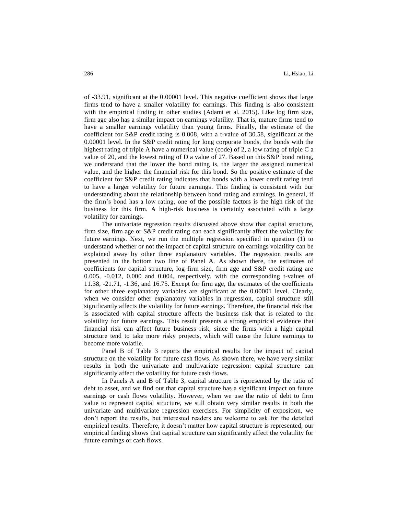of -33.91, significant at the 0.00001 level. This negative coefficient shows that large firms tend to have a smaller volatility for earnings. This finding is also consistent with the empirical finding in other studies (Adami et al. 2015). Like log firm size, firm age also has a similar impact on earnings volatility. That is, mature firms tend to have a smaller earnings volatility than young firms. Finally, the estimate of the coefficient for S&P credit rating is 0.008, with a t-value of 30.58, significant at the 0.00001 level. In the S&P credit rating for long corporate bonds, the bonds with the highest rating of triple A have a numerical value (code) of 2, a low rating of triple C a value of 20, and the lowest rating of D a value of 27. Based on this S&P bond rating, we understand that the lower the bond rating is, the larger the assigned numerical value, and the higher the financial risk for this bond. So the positive estimate of the coefficient for S&P credit rating indicates that bonds with a lower credit rating tend to have a larger volatility for future earnings. This finding is consistent with our understanding about the relationship between bond rating and earnings. In general, if the firm's bond has a low rating, one of the possible factors is the high risk of the business for this firm. A high-risk business is certainly associated with a large volatility for earnings.

The univariate regression results discussed above show that capital structure, firm size, firm age or S&P credit rating can each significantly affect the volatility for future earnings. Next, we run the multiple regression specified in question (1) to understand whether or not the impact of capital structure on earnings volatility can be explained away by other three explanatory variables. The regression results are presented in the bottom two line of Panel A. As shown there, the estimates of coefficients for capital structure, log firm size, firm age and S&P credit rating are 0.005, -0.012, 0.000 and 0.004, respectively, with the corresponding t-values of 11.38, -21.71, -1.36, and 16.75. Except for firm age, the estimates of the coefficients for other three explanatory variables are significant at the 0.00001 level. Clearly, when we consider other explanatory variables in regression, capital structure still significantly affects the volatility for future earnings. Therefore, the financial risk that is associated with capital structure affects the business risk that is related to the volatility for future earnings. This result presents a strong empirical evidence that financial risk can affect future business risk, since the firms with a high capital structure tend to take more risky projects, which will cause the future earnings to become more volatile.

Panel B of Table 3 reports the empirical results for the impact of capital structure on the volatility for future cash flows. As shown there, we have very similar results in both the univariate and multivariate regression: capital structure can significantly affect the volatility for future cash flows.

In Panels A and B of Table 3, capital structure is represented by the ratio of debt to asset, and we find out that capital structure has a significant impact on future earnings or cash flows volatility. However, when we use the ratio of debt to firm value to represent capital structure, we still obtain very similar results in both the univariate and multivariate regression exercises. For simplicity of exposition, we don't report the results, but interested readers are welcome to ask for the detailed empirical results. Therefore, it doesn't matter how capital structure is represented, our empirical finding shows that capital structure can significantly affect the volatility for future earnings or cash flows.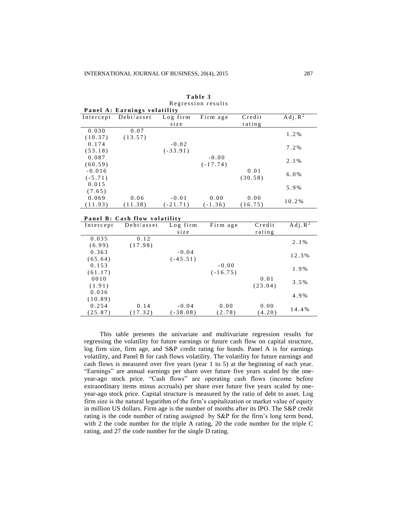| Panel A: Earnings volatility |            |            |            |         |                     |  |
|------------------------------|------------|------------|------------|---------|---------------------|--|
| Intercept                    | Debt/asset | Log firm   | Firm age   | Credit  | Adj. R <sup>2</sup> |  |
|                              |            | size       |            | rating  |                     |  |
| 0.030                        | 0.07       |            |            |         | 1.2%                |  |
| (10.37)                      | (13.57)    |            |            |         |                     |  |
| 0.174                        |            | $-0.02$    |            |         | $7.2\%$             |  |
| (53.18)                      |            | $(-33.91)$ |            |         |                     |  |
| 0.087                        |            |            | $-0.00$    |         | 2.1%                |  |
| (60.59)                      |            |            | $(-17.74)$ |         |                     |  |
| $-0.016$                     |            |            |            | 0.01    | $6.0\%$             |  |
| $(-5.71)$                    |            |            |            | (30.58) |                     |  |
| 0.015                        |            |            |            |         | 5.9%                |  |
| (7.65)                       |            |            |            |         |                     |  |
| 0.069                        | 0.06       | $-0.01$    | 0.00       | 0.00    |                     |  |
| (11.93)                      | (11.38)    | $(-21.71)$ | $(-1.36)$  | (16.75) | 10.2%               |  |

Table 3 Regression results

|  |  | Panel B: Cash flow volatility |
|--|--|-------------------------------|

| Intercept | Debt/asset | Log firm   | Firm age   | Credit  | $Adi \cdot R^2$ |  |  |  |
|-----------|------------|------------|------------|---------|-----------------|--|--|--|
|           |            | size       |            | rating  |                 |  |  |  |
| 0.035     | 0.12       |            |            |         | 2.1%            |  |  |  |
| (6.99)    | (17.98)    |            |            |         |                 |  |  |  |
| 0.363     |            | $-0.04$    |            |         | 12.3%           |  |  |  |
| (65.64)   |            | $(-45.51)$ |            |         |                 |  |  |  |
| 0.153     |            |            | $-0.00$    |         | 1.9%            |  |  |  |
| (61.17)   |            |            | $(-16.75)$ |         |                 |  |  |  |
| 0010      |            |            |            | 0.01    | $3.5\%$         |  |  |  |
| (1.91)    |            |            |            | (23.04) |                 |  |  |  |
| 0.036     |            |            |            |         |                 |  |  |  |
| (10.89)   |            |            |            |         | 4.9%            |  |  |  |
| 0.254     | 0.14       | $-0.04$    | 0.00       | 0.00    |                 |  |  |  |
| (25.87)   | (17.32)    | $-38.08$   | (2.78)     | (4.20)  | 14.4%           |  |  |  |

This table presents the univariate and multivariate regression results for regressing the volatility for future earnings or future cash flow on capital structure, log firm size, firm age, and S&P credit rating for bonds. Panel A is for earnings volatility, and Panel B for cash flows volatility. The volatility for future earnings and cash flows is measured over five years (year 1 to 5) at the beginning of each year. "Earnings" are annual earnings per share over future five years scaled by the oneyear-ago stock price. "Cash flows" are operating cash flows (income before extraordinary items minus accruals) per share over future five years scaled by oneyear-ago stock price. Capital structure is measured by the ratio of debt to asset. Log firm size is the natural logarithm of the firm's capitalization or market value of equity in million US dollars. Firm age is the number of months after its IPO. The S&P credit rating is the code number of rating assigned by S&P for the firm's long term bond, with 2 the code number for the triple A rating, 20 the code number for the triple C rating, and 27 the code number for the single D rating.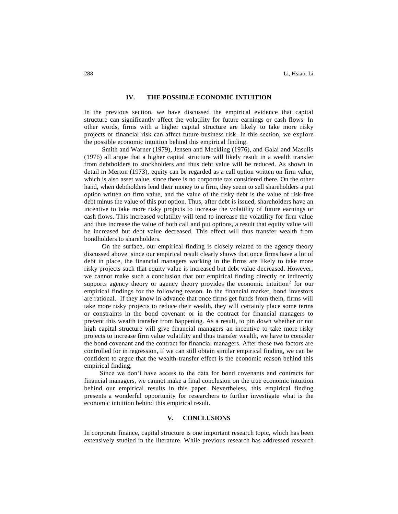### **IV. THE POSSIBLE ECONOMIC INTUITION**

In the previous section, we have discussed the empirical evidence that capital structure can significantly affect the volatility for future earnings or cash flows. In other words, firms with a higher capital structure are likely to take more risky projects or financial risk can affect future business risk. In this section, we explore the possible economic intuition behind this empirical finding.

Smith and Warner (1979), Jensen and Meckling (1976), and Galai and Masulis (1976) all argue that a higher capital structure will likely result in a wealth transfer from debtholders to stockholders and thus debt value will be reduced. As shown in detail in Merton (1973), equity can be regarded as a call option written on firm value, which is also asset value, since there is no corporate tax considered there. On the other hand, when debtholders lend their money to a firm, they seem to sell shareholders a put option written on firm value, and the value of the risky debt is the value of risk-free debt minus the value of this put option. Thus, after debt is issued, shareholders have an incentive to take more risky projects to increase the volatility of future earnings or cash flows. This increased volatility will tend to increase the volatility for firm value and thus increase the value of both call and put options, a result that equity value will be increased but debt value decreased. This effect will thus transfer wealth from bondholders to shareholders.

On the surface, our empirical finding is closely related to the agency theory discussed above, since our empirical result clearly shows that once firms have a lot of debt in place, the financial managers working in the firms are likely to take more risky projects such that equity value is increased but debt value decreased. However, we cannot make such a conclusion that our empirical finding directly or indirectly supports agency theory or agency theory provides the economic intuition<sup>2</sup> for our empirical findings for the following reason. In the financial market, bond investors are rational. If they know in advance that once firms get funds from them, firms will take more risky projects to reduce their wealth, they will certainly place some terms or constraints in the bond covenant or in the contract for financial managers to prevent this wealth transfer from happening. As a result, to pin down whether or not high capital structure will give financial managers an incentive to take more risky projects to increase firm value volatility and thus transfer wealth, we have to consider the bond covenant and the contract for financial managers. After these two factors are controlled for in regression, if we can still obtain similar empirical finding, we can be confident to argue that the wealth-transfer effect is the economic reason behind this empirical finding.

Since we don't have access to the data for bond covenants and contracts for financial managers, we cannot make a final conclusion on the true economic intuition behind our empirical results in this paper. Nevertheless, this empirical finding presents a wonderful opportunity for researchers to further investigate what is the economic intuition behind this empirical result.

#### **V. CONCLUSIONS**

In corporate finance, capital structure is one important research topic, which has been extensively studied in the literature. While previous research has addressed research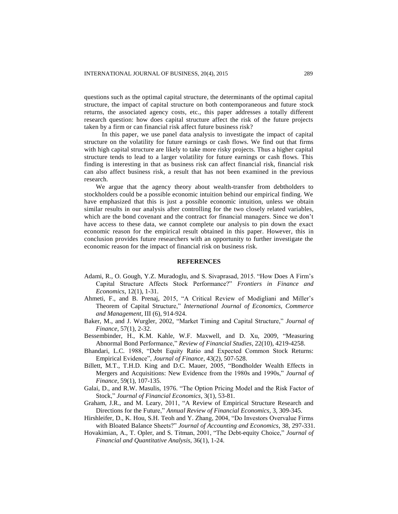questions such as the optimal capital structure, the determinants of the optimal capital structure, the impact of capital structure on both contemporaneous and future stock returns, the associated agency costs, etc., this paper addresses a totally different research question: how does capital structure affect the risk of the future projects taken by a firm or can financial risk affect future business risk?

In this paper, we use panel data analysis to investigate the impact of capital structure on the volatility for future earnings or cash flows. We find out that firms with high capital structure are likely to take more risky projects. Thus a higher capital structure tends to lead to a larger volatility for future earnings or cash flows. This finding is interesting in that as business risk can affect financial risk, financial risk can also affect business risk, a result that has not been examined in the previous research.

We argue that the agency theory about wealth-transfer from debtholders to stockholders could be a possible economic intuition behind our empirical finding. We have emphasized that this is just a possible economic intuition, unless we obtain similar results in our analysis after controlling for the two closely related variables, which are the bond covenant and the contract for financial managers. Since we don't have access to these data, we cannot complete our analysis to pin down the exact economic reason for the empirical result obtained in this paper. However, this in conclusion provides future researchers with an opportunity to further investigate the economic reason for the impact of financial risk on business risk.

#### **REFERENCES**

- Adami, R., O. Gough, Y.Z. Muradoglu, and S. Sivaprasad, 2015. "How Does A Firm's Capital Structure Affects Stock Performance?" *Frontiers in Finance and Economics*, 12(1), 1-31.
- Ahmeti, F., and B. Prenaj, 2015, "A Critical Review of Modigliani and Miller's Theorem of Capital Structure," *International Journal of Economics, Commerce and Management*, III (6), 914-924.
- Baker, M., and J. Wurgler, 2002, "Market Timing and Capital Structure," *Journal of Finance*, 57(1), 2-32.
- Bessembinder, H., K.M. Kahle, W.F. Maxwell, and D. Xu, 2009, "Measuring Abnormal Bond Performance," *Review of Financial Studies*, 22(10), 4219-4258.
- Bhandari, L.C. 1988, "Debt Equity Ratio and Expected Common Stock Returns: Empirical Evidence", *Journal of Finance*, 43(2), 507-528.
- Billett, M.T., T.H.D. King and D.C. Mauer, 2005, "Bondholder Wealth Effects in Mergers and Acquisitions: New Evidence from the 1980s and 1990s," *Journal of Finance*, 59(1), 107-135.
- Galai, D., and R.W. Masulis, 1976. "The Option Pricing Model and the Risk Factor of Stock," *Journal of Financial Economics*, 3(1), 53-81.
- Graham, J.R., and M. Leary, 2011, "A Review of Empirical Structure Research and Directions for the Future," *Annual Review of Financial Economics*, 3, 309-345.
- Hirshleifer, D., K. Hou, S.H. Teoh and Y. Zhang, 2004, "Do Investors Overvalue Firms with Bloated Balance Sheets?" *Journal of Accounting and Economics*, 38, 297-331.
- Hovakimian, A., T. Opler, and S. Titman, 2001, "The Debt-equity Choice," *Journal of Financial and Quantitative Analysis*, 36(1), 1-24.